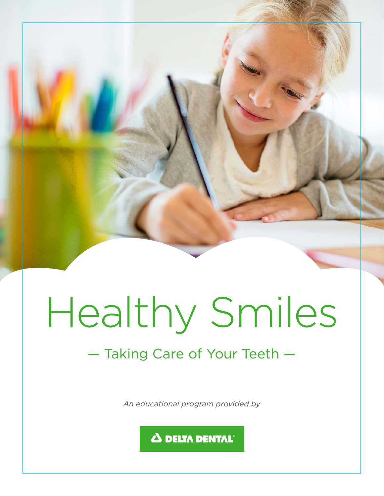# Healthy Smiles

## — Taking Care of Your Teeth —

*An educational program provided by*

**A DELTA DENTAL**®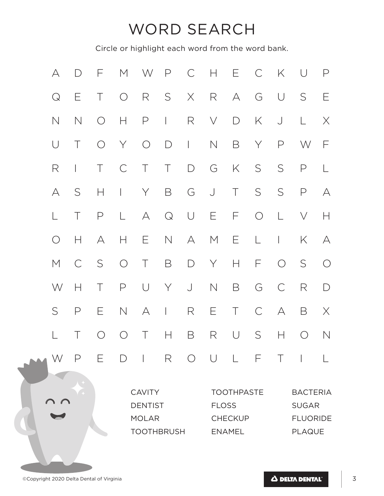## WORD SEARCH

Circle or highlight each word from the word bank.

| A            | $\Box$         | $-$ F        |                                                                      |                     |  |           |                                                                      |  |  |   | M W P C H E C K U P                                                 |            |
|--------------|----------------|--------------|----------------------------------------------------------------------|---------------------|--|-----------|----------------------------------------------------------------------|--|--|---|---------------------------------------------------------------------|------------|
| $\mathsf{Q}$ | $-E$           | $\top$       |                                                                      | ORS X R A G U       |  |           |                                                                      |  |  |   | $S$ E                                                               |            |
| $\mathbb N$  | $\mathbb N$    |              |                                                                      | O H P I R V D K J L |  |           |                                                                      |  |  |   |                                                                     | $\times$   |
| $\bigcup$    | $\top$         |              |                                                                      | O Y O D I N B Y P   |  |           |                                                                      |  |  |   | W F                                                                 |            |
| R            | $\mathbb{R}$   |              |                                                                      |                     |  |           |                                                                      |  |  |   | T C T T D G K S S P L                                               |            |
| A            | S              |              |                                                                      | H I Y B G J T S S   |  |           |                                                                      |  |  |   | $\overline{P}$                                                      | $\forall$  |
| L.           | $\top$         | $\mathsf{P}$ |                                                                      |                     |  |           |                                                                      |  |  |   | L A Q U E F O L V                                                   | H          |
| $\bigcirc$   | H              |              |                                                                      | A H E N A M E L I   |  |           |                                                                      |  |  |   | K                                                                   | $\forall$  |
| M            | $\mathsf{C}$   | S            |                                                                      |                     |  |           |                                                                      |  |  |   | O T B D Y H F O S                                                   | $\bigcirc$ |
| W            | H              | $\top$       |                                                                      | P U Y J N B G C     |  |           |                                                                      |  |  |   | R                                                                   | $\Box$     |
| S            | $\overline{P}$ |              |                                                                      |                     |  |           |                                                                      |  |  |   | EN AIRET CAB                                                        | $\times$   |
|              | $\top$         |              |                                                                      | O O T               |  | H B R U S |                                                                      |  |  | H | $\bigcirc$                                                          | N          |
| W            |                |              |                                                                      |                     |  |           |                                                                      |  |  |   | P E D I R O U L F T I                                               |            |
|              |                |              | <b>CAVITY</b><br><b>DENTIST</b><br><b>MOLAR</b><br><b>TOOTHBRUSH</b> |                     |  |           | <b>TOOTHPASTE</b><br><b>FLOSS</b><br><b>CHECKUP</b><br><b>ENAMEL</b> |  |  |   | <b>BACTERIA</b><br><b>SUGAR</b><br><b>FLUORIDE</b><br><b>PLAQUE</b> |            |

Copyright 2020 Delta Dental of Virginia **3 System** 2020 Delta Dental of Virginia 3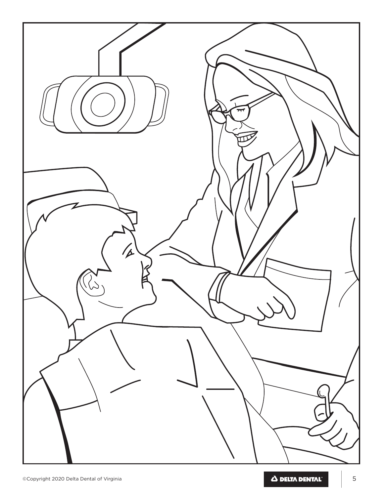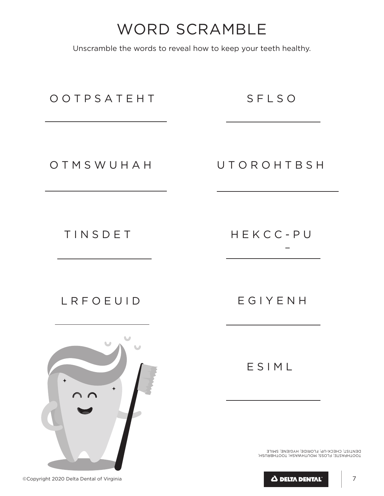## WORD SCRAMBLE

Unscramble the words to reveal how to keep your teeth healthy.

O O T P S A T E H T S F L S O O T M S W U H A H U T O R O H T B S H TINSDET HEKCC-PU L R F O E U I D E G I Y E N H TOOTHPASTE; FLOSS; MOUTHWASH; TOOTHBRUSH; DENTIST; CHECK-UP; FLORIDE; HYGIENE; SMILE E S I M L

©Copyright 2020 Delta Dental of Virginia 2009 and the control of the control of the control of the control of the control of the control of the control of the control of the control of the control of the control of the con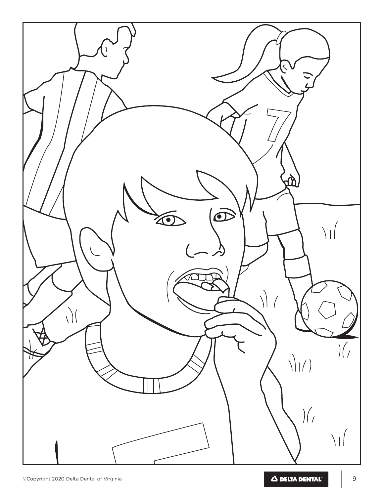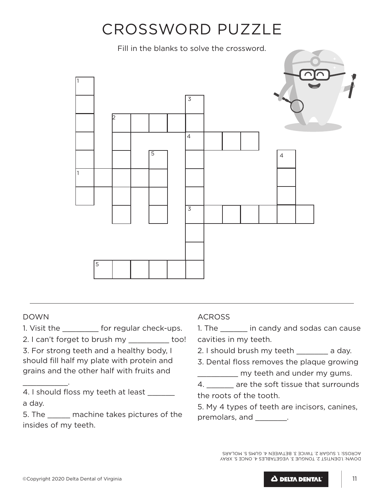# CROSSWORD PUZZLE

Fill in the blanks to solve the crossword.



#### DOWN

 $\frac{1}{2}$  ,  $\frac{1}{2}$  ,  $\frac{1}{2}$  ,  $\frac{1}{2}$  ,  $\frac{1}{2}$  ,  $\frac{1}{2}$ 

1. Visit the \_\_\_\_\_\_\_\_\_\_ for regular check-ups.

2. I can't forget to brush my \_\_\_\_\_\_\_\_\_ too!

3. For strong teeth and a healthy body, I should fill half my plate with protein and grains and the other half with fruits and

4. I should floss my teeth at least a day.

5. The \_\_\_\_\_ machine takes pictures of the insides of my teeth.

#### ACROSS

1. The \_\_\_\_\_\_ in candy and sodas can cause cavities in my teeth.

2. I should brush my teeth \_\_\_\_\_\_\_ a day.

3. Dental floss removes the plaque growing \_\_\_\_\_\_\_\_\_ my teeth and under my gums.

4. \_\_\_\_\_\_ are the soft tissue that surrounds the roots of the tooth.

5. My 4 types of teeth are incisors, canines, premolars, and \_\_\_\_\_\_\_.

> DOWN: 1.DENTIST 2. TONGUE 3. VEGETABLES 4. ONCE 5. XRAY ACROSS: 1. SUGAR 2. TWICE 3. BETWEEN 4. GUMS 5. MOLARS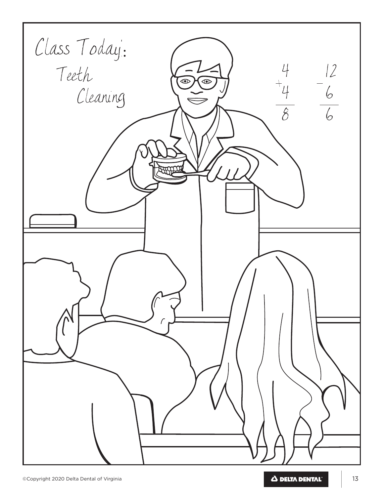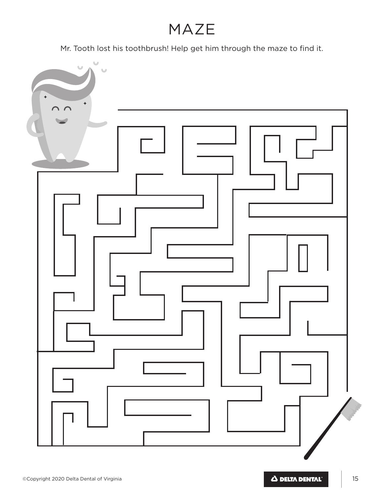## MAZE

Mr. Tooth lost his toothbrush! Help get him through the maze to find it.

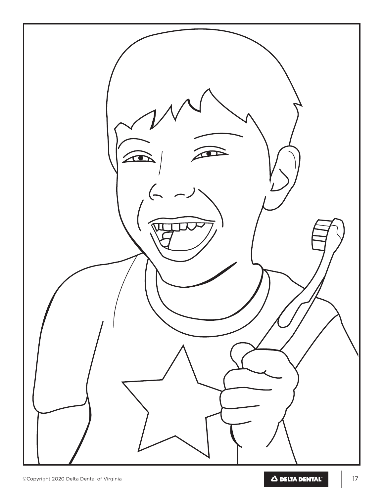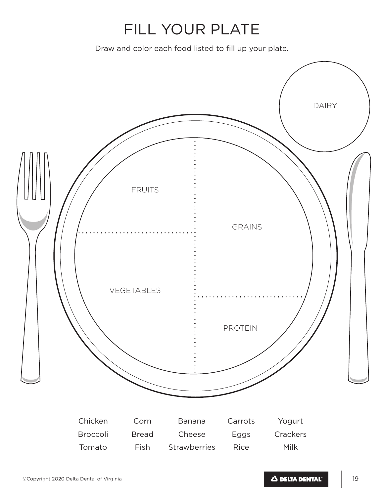# FILL YOUR PLATE

Draw and color each food listed to fill up your plate.

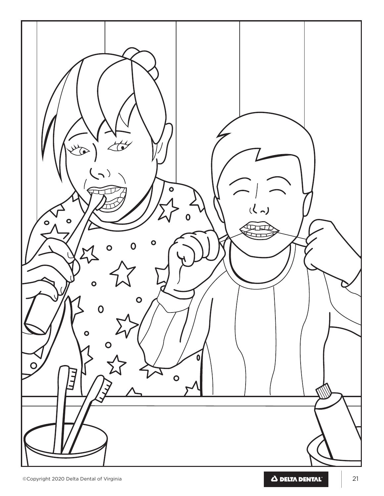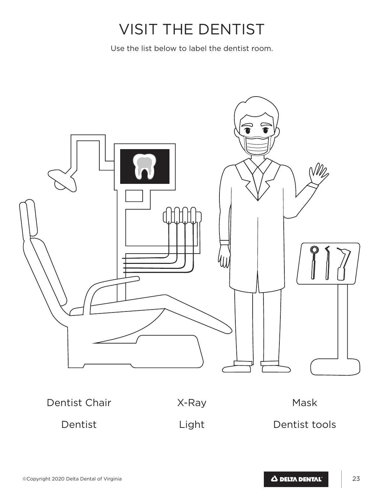# VISIT THE DENTIST

Use the list below to label the dentist room.



Dentist Chair

X-Ray

Mask

Dentist



Dentist tools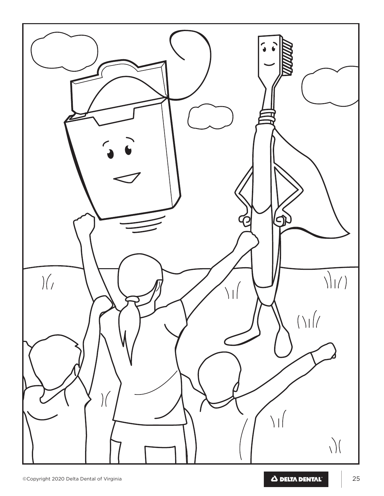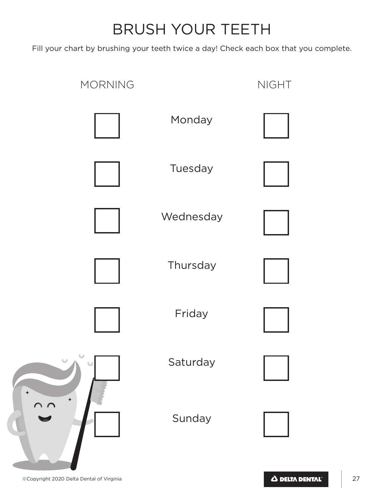# BRUSH YOUR TEETH

Fill your chart by brushing your teeth twice a day! Check each box that you complete.



©Copyright 2020 Delta Dental of Virginia 27 and 27 and 27 and 27 and 27 and 27 and 27 and 27 and 27 and 27 and 27 and 27 and 27 and 27 and 27 and 27 and 27 and 27 and 27 and 27 and 27 and 27 and 27 and 27 and 27 and 27 an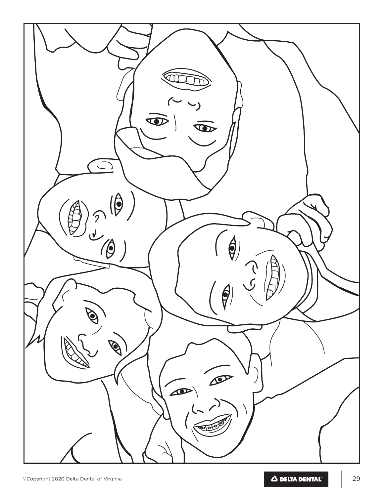